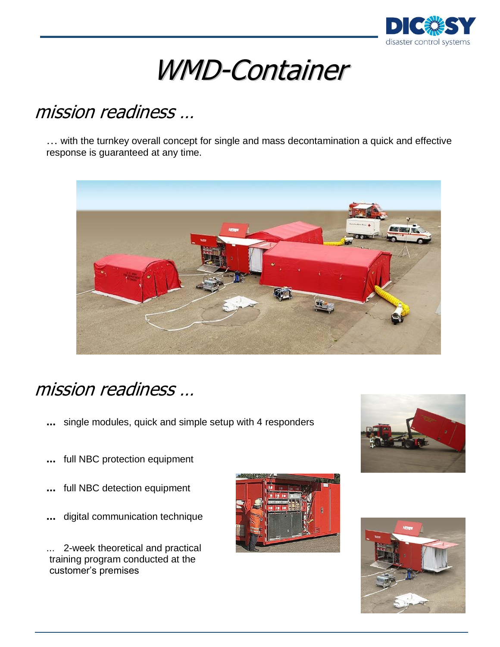

# WMD-Container

# mission readiness …

… with the turnkey overall concept for single and mass decontamination a quick and effective response is guaranteed at any time.



## mission readiness …

**...** single modules, quick and simple setup with 4 responders



- **...** full NBC protection equipment
- **...** full NBC detection equipment
- **...** digital communication technique

... 2-week theoretical and practical training program conducted at the customer's premises



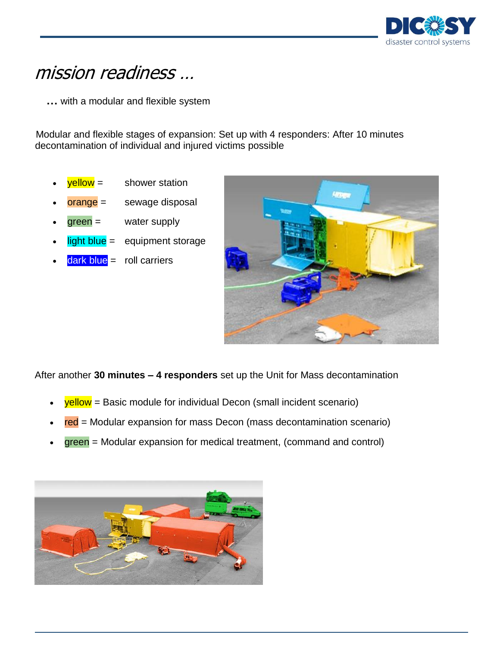

### mission readiness …

**…** with a modular and flexible system

Modular and flexible stages of expansion: Set up with 4 responders: After 10 minutes decontamination of individual and injured victims possible

- $yellow =$  shower station
- orange = sewage disposal
- $green =$  water supply
- $light blue = equipment storage$ 
	- $dark blue =$  roll carriers



After another **30 minutes – 4 responders** set up the Unit for Mass decontamination

- $\bullet$  yellow = Basic module for individual Decon (small incident scenario)
- red = Modular expansion for mass Decon (mass decontamination scenario)
- $green =$  Modular expansion for medical treatment, (command and control)

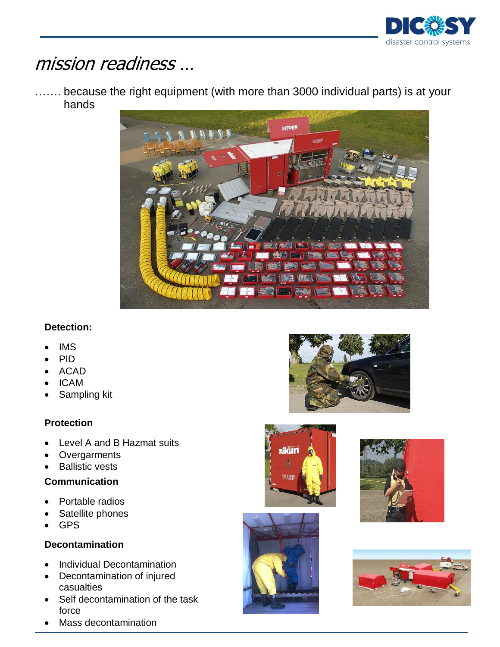

### mission readiness …

.... because the right equipment (with more than 3000 individual parts) is at your hands



### **Detection:**

- IMS
- PID
- ACAD
- ICAM
- Sampling kit

### **Protection**

- Level A and B Hazmat suits
- **Overgarments**
- Ballistic vests

#### **Communication**

- Portable radios
- Satellite phones
- GPS

#### **Decontamination**

- Individual Decontamination
- Decontamination of injured casualties
- Self decontamination of the task force
- Mass decontamination